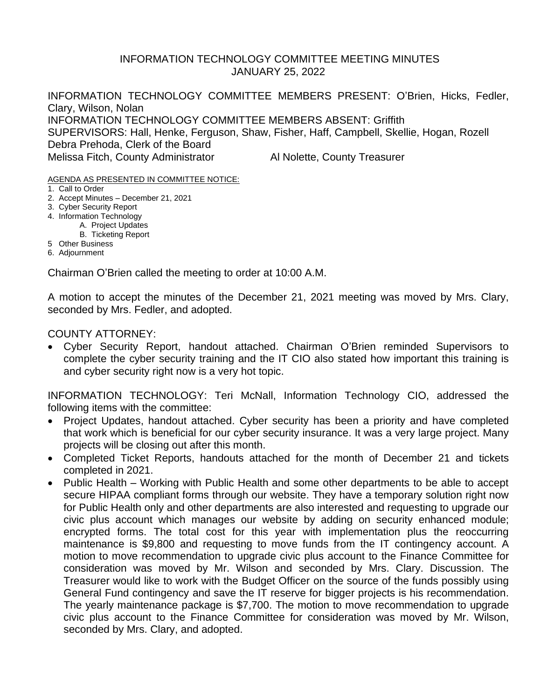## INFORMATION TECHNOLOGY COMMITTEE MEETING MINUTES JANUARY 25, 2022

INFORMATION TECHNOLOGY COMMITTEE MEMBERS PRESENT: O'Brien, Hicks, Fedler, Clary, Wilson, Nolan INFORMATION TECHNOLOGY COMMITTEE MEMBERS ABSENT: Griffith SUPERVISORS: Hall, Henke, Ferguson, Shaw, Fisher, Haff, Campbell, Skellie, Hogan, Rozell Debra Prehoda, Clerk of the Board Melissa Fitch, County Administrator **Al Nolette, County Treasurer** 

AGENDA AS PRESENTED IN COMMITTEE NOTICE:

- 1. Call to Order
- 2. Accept Minutes December 21, 2021
- 3. Cyber Security Report
- 4. Information Technology
	- A. Project Updates
	- B. Ticketing Report
- 5 Other Business
- 6. Adjournment

Chairman O'Brien called the meeting to order at 10:00 A.M.

A motion to accept the minutes of the December 21, 2021 meeting was moved by Mrs. Clary, seconded by Mrs. Fedler, and adopted.

COUNTY ATTORNEY:

• Cyber Security Report, handout attached. Chairman O'Brien reminded Supervisors to complete the cyber security training and the IT CIO also stated how important this training is and cyber security right now is a very hot topic.

INFORMATION TECHNOLOGY: Teri McNall, Information Technology CIO, addressed the following items with the committee:

- Project Updates, handout attached. Cyber security has been a priority and have completed that work which is beneficial for our cyber security insurance. It was a very large project. Many projects will be closing out after this month.
- Completed Ticket Reports, handouts attached for the month of December 21 and tickets completed in 2021.
- Public Health Working with Public Health and some other departments to be able to accept secure HIPAA compliant forms through our website. They have a temporary solution right now for Public Health only and other departments are also interested and requesting to upgrade our civic plus account which manages our website by adding on security enhanced module; encrypted forms. The total cost for this year with implementation plus the reoccurring maintenance is \$9,800 and requesting to move funds from the IT contingency account. A motion to move recommendation to upgrade civic plus account to the Finance Committee for consideration was moved by Mr. Wilson and seconded by Mrs. Clary. Discussion. The Treasurer would like to work with the Budget Officer on the source of the funds possibly using General Fund contingency and save the IT reserve for bigger projects is his recommendation. The yearly maintenance package is \$7,700. The motion to move recommendation to upgrade civic plus account to the Finance Committee for consideration was moved by Mr. Wilson, seconded by Mrs. Clary, and adopted.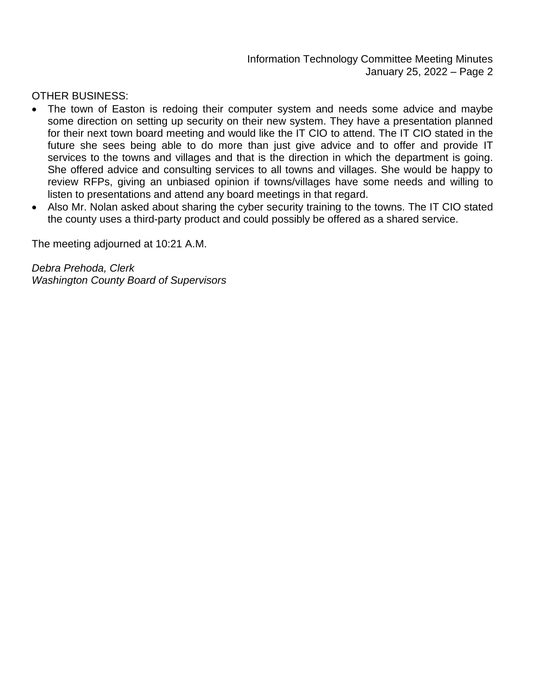Information Technology Committee Meeting Minutes January 25, 2022 – Page 2

OTHER BUSINESS:

- The town of Easton is redoing their computer system and needs some advice and maybe some direction on setting up security on their new system. They have a presentation planned for their next town board meeting and would like the IT CIO to attend. The IT CIO stated in the future she sees being able to do more than just give advice and to offer and provide IT services to the towns and villages and that is the direction in which the department is going. She offered advice and consulting services to all towns and villages. She would be happy to review RFPs, giving an unbiased opinion if towns/villages have some needs and willing to listen to presentations and attend any board meetings in that regard.
- Also Mr. Nolan asked about sharing the cyber security training to the towns. The IT CIO stated the county uses a third-party product and could possibly be offered as a shared service.

The meeting adjourned at 10:21 A.M.

*Debra Prehoda, Clerk Washington County Board of Supervisors*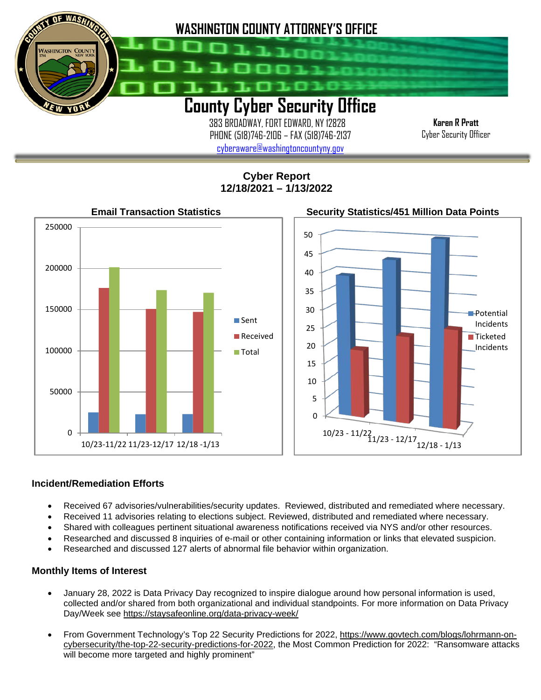

 383 BROADWAY, FORT EDWARD, NY 12828 PHONE (518)746-2106 – FAX (518)746-2137 [cyberaware@washingtoncountyny.gov](mailto:cyberaware@washingtoncountyny.gov)

**Karen R Pratt** Cyber Security Officer

**Cyber Report 12/18/2021 – 1/13/2022**



## **Incident/Remediation Efforts**

İ

- Received 67 advisories/vulnerabilities/security updates. Reviewed, distributed and remediated where necessary.
- Received 11 advisories relating to elections subject. Reviewed, distributed and remediated where necessary.
- Shared with colleagues pertinent situational awareness notifications received via NYS and/or other resources.
- Researched and discussed 8 inquiries of e-mail or other containing information or links that elevated suspicion.
- Researched and discussed 127 alerts of abnormal file behavior within organization.

## **Monthly Items of Interest**

- January 28, 2022 is Data Privacy Day recognized to inspire dialogue around how personal information is used, collected and/or shared from both organizational and individual standpoints. For more information on Data Privacy Day/Week see<https://staysafeonline.org/data-privacy-week/>
- From Government Technology's Top 22 Security Predictions for 2022, [https://www.govtech.com/blogs/lohrmann-on](https://www.govtech.com/blogs/lohrmann-on-cybersecurity/the-top-22-security-predictions-for-2022)[cybersecurity/the-top-22-security-predictions-for-2022,](https://www.govtech.com/blogs/lohrmann-on-cybersecurity/the-top-22-security-predictions-for-2022) the Most Common Prediction for 2022: "Ransomware attacks will become more targeted and highly prominent"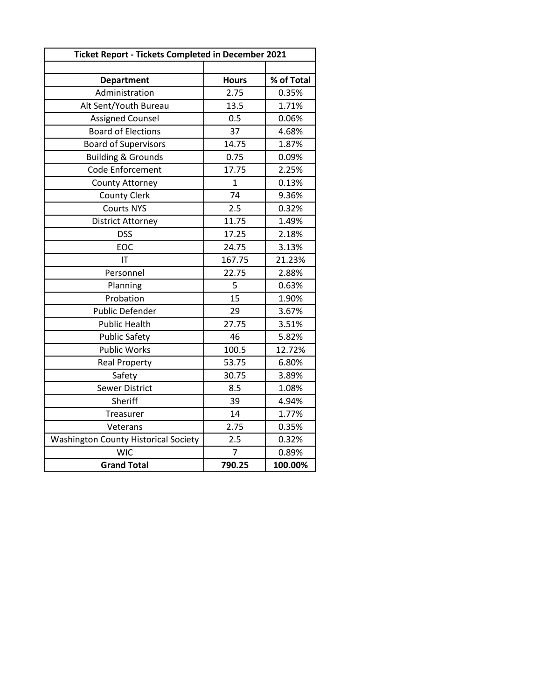| <b>Ticket Report - Tickets Completed in December 2021</b> |              |            |
|-----------------------------------------------------------|--------------|------------|
|                                                           |              |            |
| <b>Department</b>                                         | <b>Hours</b> | % of Total |
| Administration                                            | 2.75         | 0.35%      |
| Alt Sent/Youth Bureau                                     | 13.5         | 1.71%      |
| <b>Assigned Counsel</b>                                   | 0.5          | 0.06%      |
| <b>Board of Elections</b>                                 | 37           | 4.68%      |
| <b>Board of Supervisors</b>                               | 14.75        | 1.87%      |
| <b>Building &amp; Grounds</b>                             | 0.75         | 0.09%      |
| Code Enforcement                                          | 17.75        | 2.25%      |
| County Attorney                                           | $\mathbf{1}$ | 0.13%      |
| <b>County Clerk</b>                                       | 74           | 9.36%      |
| <b>Courts NYS</b>                                         | 2.5          | 0.32%      |
| <b>District Attorney</b>                                  | 11.75        | 1.49%      |
| <b>DSS</b>                                                | 17.25        | 2.18%      |
| EOC                                                       | 24.75        | 3.13%      |
| IT                                                        | 167.75       | 21.23%     |
| Personnel                                                 | 22.75        | 2.88%      |
| Planning                                                  | 5            | 0.63%      |
| Probation                                                 | 15           | 1.90%      |
| <b>Public Defender</b>                                    | 29           | 3.67%      |
| <b>Public Health</b>                                      | 27.75        | 3.51%      |
| <b>Public Safety</b>                                      | 46           | 5.82%      |
| <b>Public Works</b>                                       | 100.5        | 12.72%     |
| <b>Real Property</b>                                      | 53.75        | 6.80%      |
| Safety                                                    | 30.75        | 3.89%      |
| <b>Sewer District</b>                                     | 8.5          | 1.08%      |
| Sheriff                                                   | 39           | 4.94%      |
| Treasurer                                                 | 14           | 1.77%      |
| Veterans                                                  | 2.75         | 0.35%      |
| <b>Washington County Historical Society</b>               | 2.5          | 0.32%      |
| <b>WIC</b>                                                | 7            | 0.89%      |
| <b>Grand Total</b>                                        | 790.25       | 100.00%    |